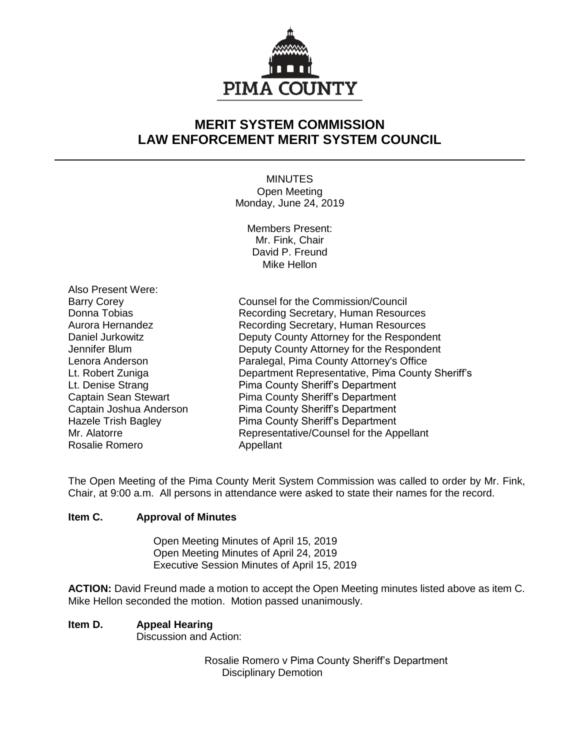

# **MERIT SYSTEM COMMISSION LAW ENFORCEMENT MERIT SYSTEM COUNCIL**

MINUTES Open Meeting Monday, June 24, 2019

Members Present: Mr. Fink, Chair David P. Freund Mike Hellon

Also Present Were: Rosalie Romero **Appellant** 

Barry Corey **Counsel for the Commission/Council** Donna Tobias **Recording Secretary, Human Resources** Aurora Hernandez Recording Secretary, Human Resources Daniel Jurkowitz Deputy County Attorney for the Respondent Jennifer Blum Deputy County Attorney for the Respondent Lenora Anderson Paralegal, Pima County Attorney's Office Lt. Robert Zuniga Department Representative, Pima County Sheriff's Lt. Denise Strang **Pima County Sheriff's Department** Captain Sean Stewart Pima County Sheriff's Department Captain Joshua Anderson Pima County Sheriff's Department Hazele Trish Bagley **Pima County Sheriff's Department** Mr. Alatorre **Representative/Counsel for the Appellant** 

The Open Meeting of the Pima County Merit System Commission was called to order by Mr. Fink, Chair, at 9:00 a.m. All persons in attendance were asked to state their names for the record.

## **Item C. Approval of Minutes**

Open Meeting Minutes of April 15, 2019 Open Meeting Minutes of April 24, 2019 Executive Session Minutes of April 15, 2019

**ACTION:** David Freund made a motion to accept the Open Meeting minutes listed above as item C. Mike Hellon seconded the motion. Motion passed unanimously.

# **Item D. Appeal Hearing**

Discussion and Action:

Rosalie Romero v Pima County Sheriff's Department Disciplinary Demotion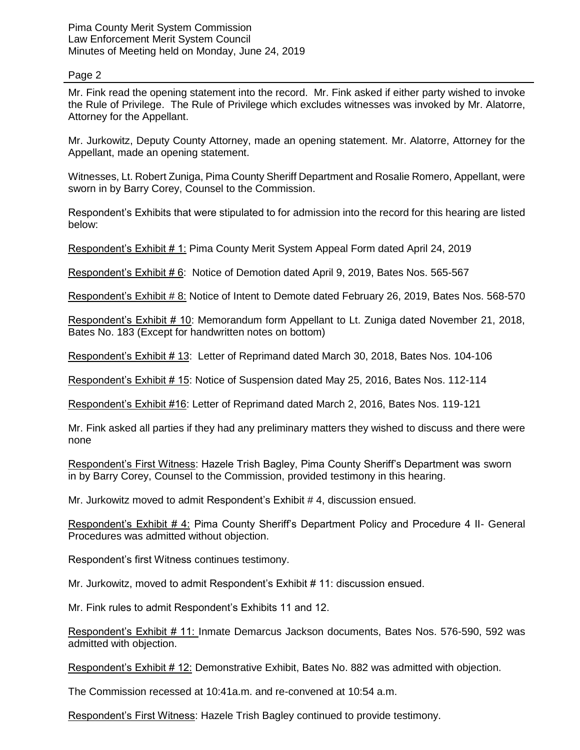## Page 2

Mr. Fink read the opening statement into the record. Mr. Fink asked if either party wished to invoke the Rule of Privilege. The Rule of Privilege which excludes witnesses was invoked by Mr. Alatorre, Attorney for the Appellant.

Mr. Jurkowitz, Deputy County Attorney, made an opening statement. Mr. Alatorre, Attorney for the Appellant, made an opening statement.

Witnesses, Lt. Robert Zuniga, Pima County Sheriff Department and Rosalie Romero, Appellant, were sworn in by Barry Corey, Counsel to the Commission.

Respondent's Exhibits that were stipulated to for admission into the record for this hearing are listed below:

Respondent's Exhibit # 1: Pima County Merit System Appeal Form dated April 24, 2019

Respondent's Exhibit # 6: Notice of Demotion dated April 9, 2019, Bates Nos. 565-567

Respondent's Exhibit # 8: Notice of Intent to Demote dated February 26, 2019, Bates Nos. 568-570

Respondent's Exhibit # 10: Memorandum form Appellant to Lt. Zuniga dated November 21, 2018, Bates No. 183 (Except for handwritten notes on bottom)

Respondent's Exhibit # 13: Letter of Reprimand dated March 30, 2018, Bates Nos. 104-106

Respondent's Exhibit # 15: Notice of Suspension dated May 25, 2016, Bates Nos. 112-114

Respondent's Exhibit #16: Letter of Reprimand dated March 2, 2016, Bates Nos. 119-121

Mr. Fink asked all parties if they had any preliminary matters they wished to discuss and there were none

Respondent's First Witness: Hazele Trish Bagley, Pima County Sheriff's Department was sworn in by Barry Corey, Counsel to the Commission, provided testimony in this hearing.

Mr. Jurkowitz moved to admit Respondent's Exhibit # 4, discussion ensued.

Respondent's Exhibit # 4: Pima County Sheriff's Department Policy and Procedure 4 II- General Procedures was admitted without objection.

Respondent's first Witness continues testimony.

Mr. Jurkowitz, moved to admit Respondent's Exhibit # 11: discussion ensued.

Mr. Fink rules to admit Respondent's Exhibits 11 and 12.

Respondent's Exhibit # 11: Inmate Demarcus Jackson documents, Bates Nos. 576-590, 592 was admitted with objection.

Respondent's Exhibit # 12: Demonstrative Exhibit, Bates No. 882 was admitted with objection.

The Commission recessed at 10:41a.m. and re-convened at 10:54 a.m.

Respondent's First Witness: Hazele Trish Bagley continued to provide testimony.